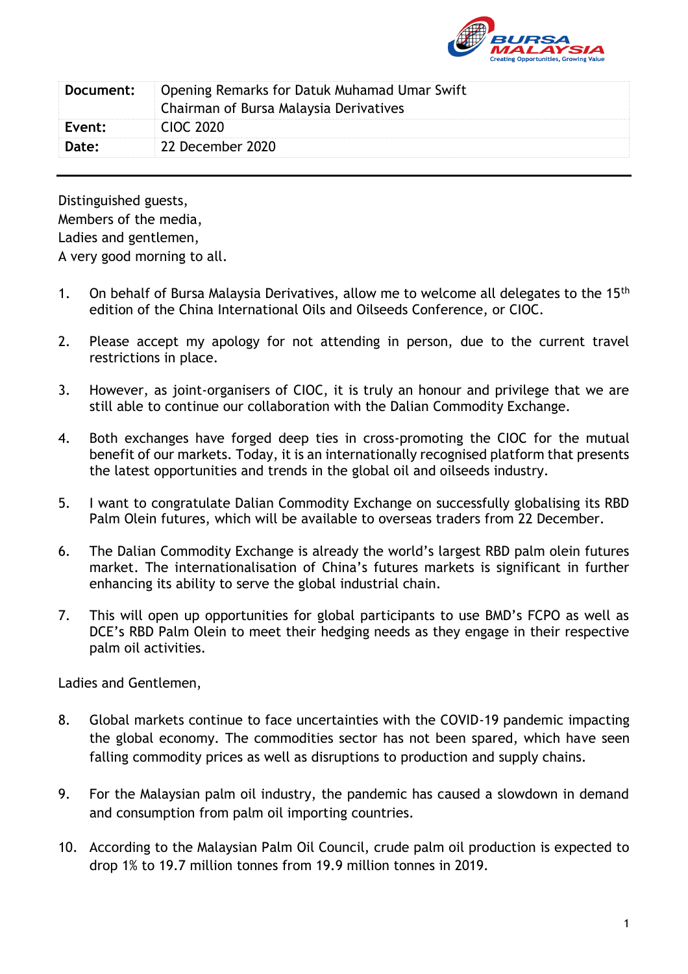

| Document: | Opening Remarks for Datuk Muhamad Umar Swift<br>Chairman of Bursa Malaysia Derivatives |
|-----------|----------------------------------------------------------------------------------------|
| Event:    | <b>CIOC 2020</b>                                                                       |
| Date:     | 22 December 2020                                                                       |

Distinguished guests, Members of the media, Ladies and gentlemen, A very good morning to all.

- 1. On behalf of Bursa Malaysia Derivatives, allow me to welcome all delegates to the 15<sup>th</sup> edition of the China International Oils and Oilseeds Conference, or CIOC.
- 2. Please accept my apology for not attending in person, due to the current travel restrictions in place.
- 3. However, as joint-organisers of CIOC, it is truly an honour and privilege that we are still able to continue our collaboration with the Dalian Commodity Exchange.
- 4. Both exchanges have forged deep ties in cross-promoting the CIOC for the mutual benefit of our markets. Today, it is an internationally recognised platform that presents the latest opportunities and trends in the global oil and oilseeds industry.
- 5. I want to congratulate Dalian Commodity Exchange on successfully globalising its RBD Palm Olein futures, which will be available to overseas traders from 22 December.
- 6. The Dalian Commodity Exchange is already the world's largest RBD palm olein futures market. The internationalisation of China's futures markets is significant in further enhancing its ability to serve the global industrial chain.
- 7. This will open up opportunities for global participants to use BMD's FCPO as well as DCE's RBD Palm Olein to meet their hedging needs as they engage in their respective palm oil activities.

Ladies and Gentlemen,

- 8. Global markets continue to face uncertainties with the COVID-19 pandemic impacting the global economy. The commodities sector has not been spared, which have seen falling commodity prices as well as disruptions to production and supply chains.
- 9. For the Malaysian palm oil industry, the pandemic has caused a slowdown in demand and consumption from palm oil importing countries.
- 10. According to the Malaysian Palm Oil Council, crude palm oil production is expected to drop 1% to 19.7 million tonnes from 19.9 million tonnes in 2019.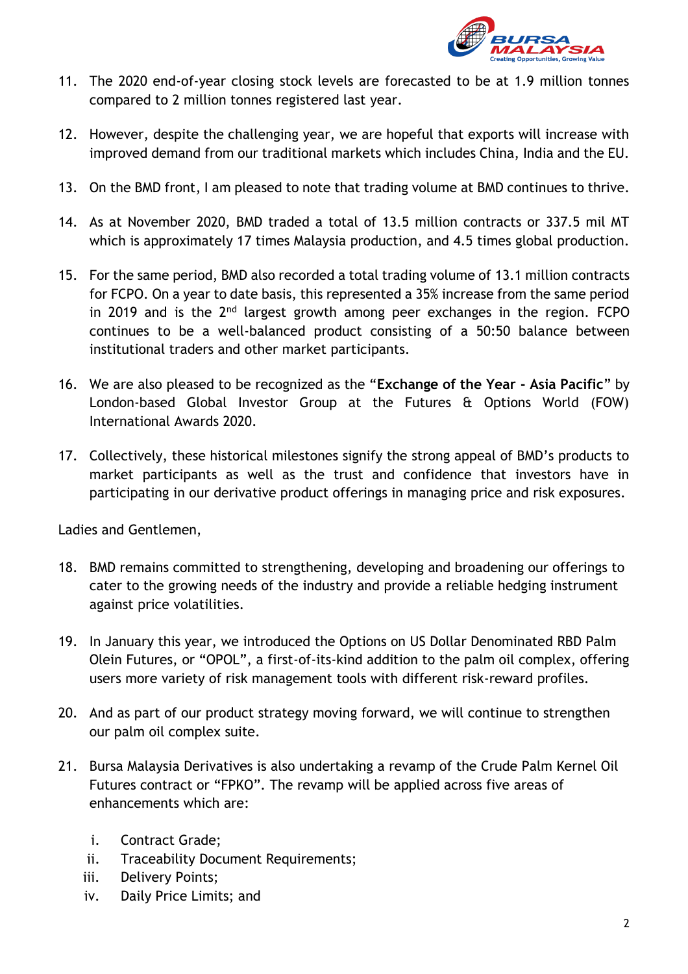

- 11. The 2020 end-of-year closing stock levels are forecasted to be at 1.9 million tonnes compared to 2 million tonnes registered last year.
- 12. However, despite the challenging year, we are hopeful that exports will increase with improved demand from our traditional markets which includes China, India and the EU.
- 13. On the BMD front, I am pleased to note that trading volume at BMD continues to thrive.
- 14. As at November 2020, BMD traded a total of 13.5 million contracts or 337.5 mil MT which is approximately 17 times Malaysia production, and 4.5 times global production.
- 15. For the same period, BMD also recorded a total trading volume of 13.1 million contracts for FCPO. On a year to date basis, this represented a 35% increase from the same period in 2019 and is the  $2<sup>nd</sup>$  largest growth among peer exchanges in the region. FCPO continues to be a well-balanced product consisting of a 50:50 balance between institutional traders and other market participants.
- 16. We are also pleased to be recognized as the "**Exchange of the Year - Asia Pacific**" by London-based Global Investor Group at the Futures & Options World (FOW) International Awards 2020.
- 17. Collectively, these historical milestones signify the strong appeal of BMD's products to market participants as well as the trust and confidence that investors have in participating in our derivative product offerings in managing price and risk exposures.

Ladies and Gentlemen,

- 18. BMD remains committed to strengthening, developing and broadening our offerings to cater to the growing needs of the industry and provide a reliable hedging instrument against price volatilities.
- 19. In January this year, we introduced the Options on US Dollar Denominated RBD Palm Olein Futures, or "OPOL", a first-of-its-kind addition to the palm oil complex, offering users more variety of risk management tools with different risk-reward profiles.
- 20. And as part of our product strategy moving forward, we will continue to strengthen our palm oil complex suite.
- 21. Bursa Malaysia Derivatives is also undertaking a revamp of the Crude Palm Kernel Oil Futures contract or "FPKO". The revamp will be applied across five areas of enhancements which are:
	- i. Contract Grade;
	- ii. Traceability Document Requirements;
	- iii. Delivery Points;
	- iv. Daily Price Limits; and